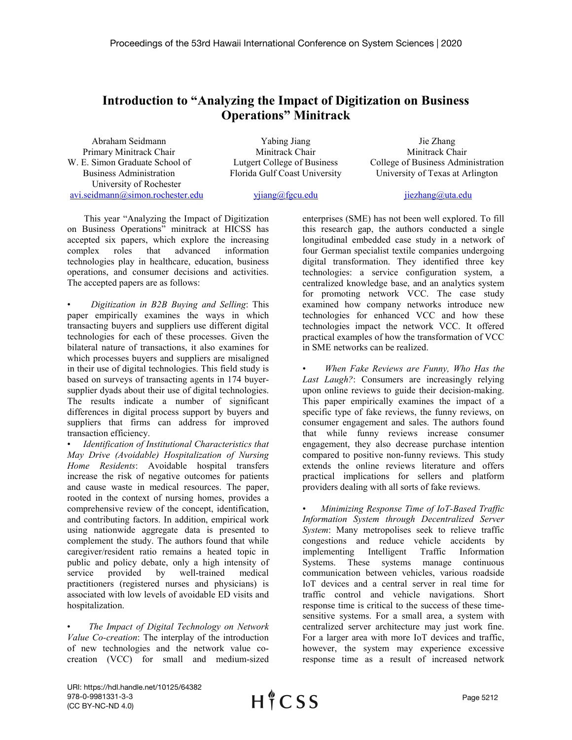## **Introduction to "Analyzing the Impact of Digitization on Business Operations" Minitrack**

Abraham Seidmann Primary Minitrack Chair W. E. Simon Graduate School of Business Administration University of Rochester [avi.seidmann@simon.rochester.edu](mailto:avi.seidmann@simon.rochester.edu)

Yabing Jiang Minitrack Chair Lutgert College of Business Florida Gulf Coast University

Jie Zhang Minitrack Chair College of Business Administration University of Texas at Arlington

[yjiang@fgcu.edu](mailto:yjiang@fgcu.edu)

jiezhang@uta.edu

This year "Analyzing the Impact of Digitization on Business Operations" minitrack at HICSS has accepted six papers, which explore the increasing complex roles that advanced information technologies play in healthcare, education, business operations, and consumer decisions and activities. The accepted papers are as follows:

• *Digitization in B2B Buying and Selling*: This paper empirically examines the ways in which transacting buyers and suppliers use different digital technologies for each of these processes. Given the bilateral nature of transactions, it also examines for which processes buyers and suppliers are misaligned in their use of digital technologies. This field study is based on surveys of transacting agents in 174 buyersupplier dyads about their use of digital technologies. The results indicate a number of significant differences in digital process support by buyers and suppliers that firms can address for improved transaction efficiency.

• *Identification of Institutional Characteristics that May Drive (Avoidable) Hospitalization of Nursing Home Residents*: Avoidable hospital transfers increase the risk of negative outcomes for patients and cause waste in medical resources. The paper, rooted in the context of nursing homes, provides a comprehensive review of the concept, identification, and contributing factors. In addition, empirical work using nationwide aggregate data is presented to complement the study. The authors found that while caregiver/resident ratio remains a heated topic in public and policy debate, only a high intensity of service provided by well-trained medical practitioners (registered nurses and physicians) is associated with low levels of avoidable ED visits and hospitalization.

• *The Impact of Digital Technology on Network Value Co-creation*: The interplay of the introduction of new technologies and the network value cocreation (VCC) for small and medium-sized

enterprises (SME) has not been well explored. To fill this research gap, the authors conducted a single longitudinal embedded case study in a network of four German specialist textile companies undergoing digital transformation. They identified three key technologies: a service configuration system, a centralized knowledge base, and an analytics system for promoting network VCC. The case study examined how company networks introduce new technologies for enhanced VCC and how these technologies impact the network VCC. It offered practical examples of how the transformation of VCC in SME networks can be realized.

• *When Fake Reviews are Funny, Who Has the Last Laugh?*: Consumers are increasingly relying upon online reviews to guide their decision-making. This paper empirically examines the impact of a specific type of fake reviews, the funny reviews, on consumer engagement and sales. The authors found that while funny reviews increase consumer engagement, they also decrease purchase intention compared to positive non-funny reviews. This study extends the online reviews literature and offers practical implications for sellers and platform providers dealing with all sorts of fake reviews.

• *Minimizing Response Time of IoT-Based Traffic Information System through Decentralized Server System*: Many metropolises seek to relieve traffic congestions and reduce vehicle accidents by implementing Intelligent Traffic Information Systems. These systems manage continuous communication between vehicles, various roadside IoT devices and a central server in real time for traffic control and vehicle navigations. Short response time is critical to the success of these timesensitive systems. For a small area, a system with centralized server architecture may just work fine. For a larger area with more IoT devices and traffic, however, the system may experience excessive response time as a result of increased network

URI: https://hdl.handle.net/10125/64382 978-0-9981331-3-3 (CC BY-NC-ND 4.0)